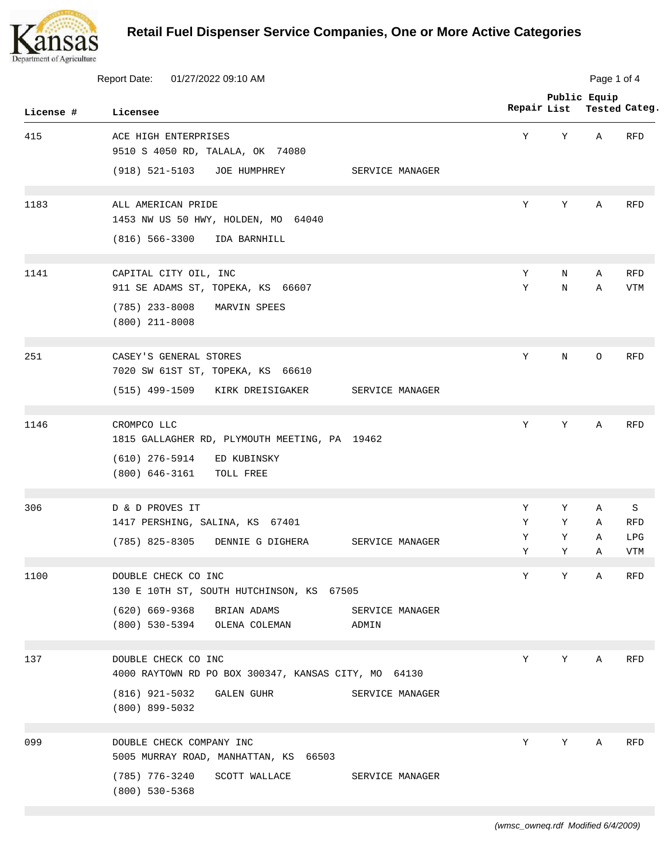

|           | <b>Report Date:</b><br>01/27/2022 09:10 AM                                    |                           |             |                               | Page 1 of 4              |  |
|-----------|-------------------------------------------------------------------------------|---------------------------|-------------|-------------------------------|--------------------------|--|
| License # | Licensee                                                                      |                           | Repair List | Public Equip<br>Tested Categ. |                          |  |
| 415       | ACE HIGH ENTERPRISES<br>9510 S 4050 RD, TALALA, OK 74080                      | Υ                         | Υ           | Α                             | <b>RFD</b>               |  |
|           | $(918) 521 - 5103$<br>JOE HUMPHREY                                            | SERVICE MANAGER           |             |                               |                          |  |
| 1183      | ALL AMERICAN PRIDE<br>1453 NW US 50 HWY, HOLDEN, MO<br>64040                  | Y                         | Υ           | Α                             | <b>RFD</b>               |  |
|           | $(816) 566 - 3300$<br>IDA BARNHILL                                            |                           |             |                               |                          |  |
| 1141      | CAPITAL CITY OIL, INC<br>911 SE ADAMS ST, TOPEKA, KS 66607                    | Υ<br>Υ                    | N<br>Ν      | Α<br>Α                        | <b>RFD</b><br><b>VTM</b> |  |
|           | $(785)$ 233-8008<br>MARVIN SPEES<br>$(800)$ 211-8008                          |                           |             |                               |                          |  |
| 251       | CASEY'S GENERAL STORES<br>7020 SW 61ST ST, TOPEKA, KS 66610                   | Υ                         | N           | O                             | <b>RFD</b>               |  |
|           | (515) 499-1509<br>KIRK DREISIGAKER                                            | SERVICE MANAGER           |             |                               |                          |  |
| 1146      | CROMPCO LLC<br>1815 GALLAGHER RD, PLYMOUTH MEETING, PA 19462                  | Υ                         | Υ           | Α                             | <b>RFD</b>               |  |
|           | $(610)$ 276-5914<br>ED KUBINSKY<br>$(800)$ 646-3161<br>TOLL FREE              |                           |             |                               |                          |  |
| 306       | D & D PROVES IT                                                               | Υ                         | Υ           | Α                             | S                        |  |
|           | 1417 PERSHING, SALINA, KS 67401                                               | Υ                         | Υ           | Α                             | <b>RFD</b>               |  |
|           | $(785)$ 825-8305<br>DENNIE G DIGHERA                                          | Υ<br>SERVICE MANAGER<br>Υ | Υ<br>Υ      | Α<br>Α                        | LPG<br>VTM               |  |
| 1100      | DOUBLE CHECK CO INC<br>130 E 10TH ST, SOUTH HUTCHINSON, KS 67505              | Υ                         | Υ           | Α                             | <b>RFD</b>               |  |
|           | $(620)$ 669-9368<br>BRIAN ADAMS<br>$(800)$ 530-5394<br>OLENA COLEMAN<br>ADMIN | SERVICE MANAGER           |             |                               |                          |  |
| 137       | DOUBLE CHECK CO INC<br>4000 RAYTOWN RD PO BOX 300347, KANSAS CITY, MO 64130   | Υ                         | Υ           | Α                             | <b>RFD</b>               |  |
|           | $(816)$ 921-5032<br>GALEN GUHR<br>$(800)$ 899-5032                            | SERVICE MANAGER           |             |                               |                          |  |
| 099       | DOUBLE CHECK COMPANY INC<br>5005 MURRAY ROAD, MANHATTAN, KS 66503             | Υ                         | Υ           | Α                             | <b>RFD</b>               |  |
|           | (785) 776-3240<br>SCOTT WALLACE<br>$(800)$ 530-5368                           | SERVICE MANAGER           |             |                               |                          |  |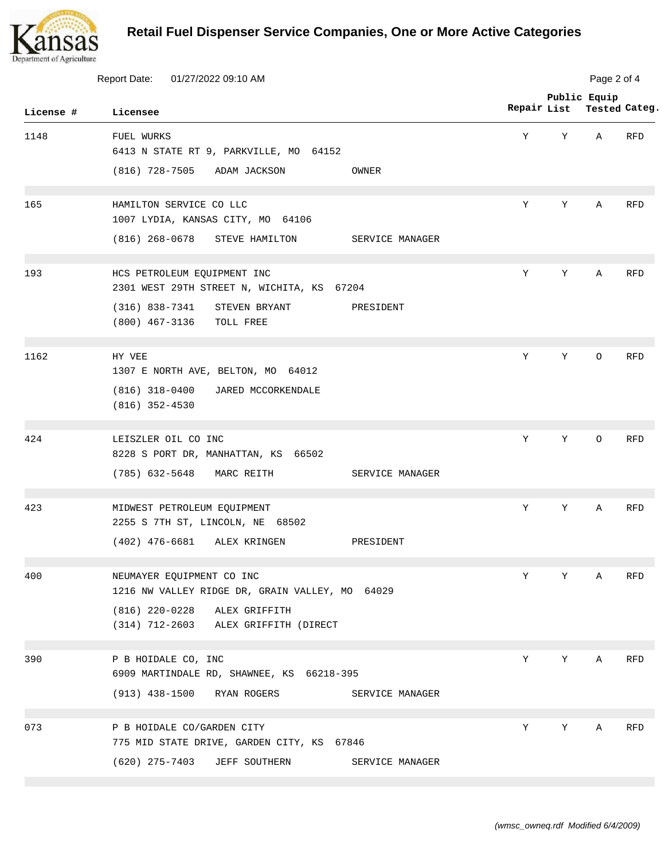

|           | <b>Report Date:</b><br>01/27/2022 09:10 AM                                      |             |   | Page 2 of 4                   |            |  |
|-----------|---------------------------------------------------------------------------------|-------------|---|-------------------------------|------------|--|
| License # | Licensee                                                                        | Repair List |   | Public Equip<br>Tested Categ. |            |  |
| 1148      | FUEL WURKS<br>6413 N STATE RT 9, PARKVILLE, MO 64152                            | Υ           | Υ | Α                             | <b>RFD</b> |  |
|           | (816) 728-7505 ADAM JACKSON<br>OWNER                                            |             |   |                               |            |  |
| 165       | HAMILTON SERVICE CO LLC<br>1007 LYDIA, KANSAS CITY, MO 64106                    | Y           | Y | Α                             | <b>RFD</b> |  |
|           | $(816)$ 268-0678<br>STEVE HAMILTON<br>SERVICE MANAGER                           |             |   |                               |            |  |
| 193       | HCS PETROLEUM EQUIPMENT INC<br>2301 WEST 29TH STREET N, WICHITA, KS 67204       | Υ           | Y | Α                             | <b>RFD</b> |  |
|           | $(316)$ 838-7341<br>STEVEN BRYANT<br>PRESIDENT<br>$(800)$ 467-3136<br>TOLL FREE |             |   |                               |            |  |
| 1162      | HY VEE<br>1307 E NORTH AVE, BELTON, MO 64012                                    | Y           | Y | O                             | <b>RFD</b> |  |
|           | $(816)$ 318-0400<br>JARED MCCORKENDALE<br>$(816)$ 352-4530                      |             |   |                               |            |  |
| 424       | LEISZLER OIL CO INC<br>8228 S PORT DR, MANHATTAN, KS 66502                      | Y           | Y | $\circ$                       | <b>RFD</b> |  |
|           | (785) 632-5648 MARC REITH<br>SERVICE MANAGER                                    |             |   |                               |            |  |
| 423       | MIDWEST PETROLEUM EQUIPMENT<br>2255 S 7TH ST, LINCOLN, NE 68502                 | Υ           | Υ | Α                             | <b>RFD</b> |  |
|           | (402) 476-6681 ALEX KRINGEN<br>PRESIDENT                                        |             |   |                               |            |  |
| 400       | NEUMAYER EQUIPMENT CO INC<br>1216 NW VALLEY RIDGE DR, GRAIN VALLEY, MO 64029    | Υ           | Υ | Α                             | <b>RFD</b> |  |
|           | $(816)$ 220-0228<br>ALEX GRIFFITH<br>$(314)$ 712-2603<br>ALEX GRIFFITH (DIRECT  |             |   |                               |            |  |
| 390       | P B HOIDALE CO, INC<br>6909 MARTINDALE RD, SHAWNEE, KS 66218-395                | Y           | Υ | Α                             | <b>RFD</b> |  |
|           | $(913)$ 438-1500<br>RYAN ROGERS<br>SERVICE MANAGER                              |             |   |                               |            |  |
| 073       | P B HOIDALE CO/GARDEN CITY<br>775 MID STATE DRIVE, GARDEN CITY, KS 67846        | Υ           | Υ | Α                             | <b>RFD</b> |  |
|           | $(620)$ 275-7403<br>JEFF SOUTHERN<br>SERVICE MANAGER                            |             |   |                               |            |  |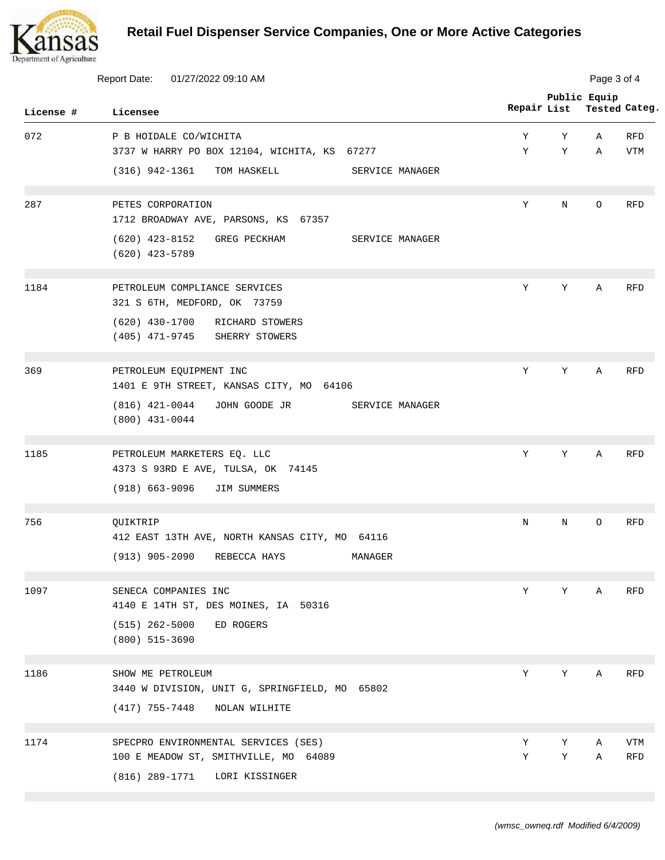

|           | Report Date:<br>01/27/2022 09:10 AM                                      |        | Page 3 of 4 |                                           |                          |  |  |
|-----------|--------------------------------------------------------------------------|--------|-------------|-------------------------------------------|--------------------------|--|--|
| License # | Licensee                                                                 |        |             | Public Equip<br>Repair List Tested Categ. |                          |  |  |
| 072       | P B HOIDALE CO/WICHITA<br>3737 W HARRY PO BOX 12104, WICHITA, KS 67277   | Υ<br>Υ | Υ<br>Y      | Α<br>Α                                    | <b>RFD</b><br><b>VTM</b> |  |  |
|           | $(316)$ 942-1361<br>TOM HASKELL<br>SERVICE MANAGER                       |        |             |                                           |                          |  |  |
| 287       | PETES CORPORATION<br>1712 BROADWAY AVE, PARSONS, KS 67357                | Υ      | Ν           | $\circ$                                   | <b>RFD</b>               |  |  |
|           | $(620)$ 423-8152<br>GREG PECKHAM<br>SERVICE MANAGER<br>(620) 423-5789    |        |             |                                           |                          |  |  |
| 1184      | PETROLEUM COMPLIANCE SERVICES<br>321 S 6TH, MEDFORD, OK 73759            | Υ      | Υ           | Α                                         | <b>RFD</b>               |  |  |
|           | $(620)$ 430-1700<br>RICHARD STOWERS<br>(405) 471-9745 SHERRY STOWERS     |        |             |                                           |                          |  |  |
| 369       | PETROLEUM EQUIPMENT INC<br>1401 E 9TH STREET, KANSAS CITY, MO 64106      | Υ      | Υ           | Α                                         | <b>RFD</b>               |  |  |
|           | $(816)$ 421-0044<br>JOHN GOODE JR<br>SERVICE MANAGER<br>$(800)$ 431-0044 |        |             |                                           |                          |  |  |
| 1185      | PETROLEUM MARKETERS EQ. LLC<br>4373 S 93RD E AVE, TULSA, OK 74145        | Y      | Υ           | Α                                         | <b>RFD</b>               |  |  |
|           | (918) 663-9096<br>JIM SUMMERS                                            |        |             |                                           |                          |  |  |
| 756       | QUIKTRIP<br>412 EAST 13TH AVE, NORTH KANSAS CITY, MO 64116               | N      | N           | O                                         | <b>RFD</b>               |  |  |
|           | (913) 905-2090 REBECCA HAYS<br>MANAGER                                   |        |             |                                           |                          |  |  |
| 1097      | SENECA COMPANIES INC<br>4140 E 14TH ST, DES MOINES, IA 50316             | Y      | Y           | Α                                         | <b>RFD</b>               |  |  |
|           | $(515)$ 262-5000<br>ED ROGERS<br>$(800)$ 515-3690                        |        |             |                                           |                          |  |  |
| 1186      | SHOW ME PETROLEUM<br>3440 W DIVISION, UNIT G, SPRINGFIELD, MO 65802      | Υ      | Υ           | Α                                         | <b>RFD</b>               |  |  |
|           | $(417)$ 755-7448<br>NOLAN WILHITE                                        |        |             |                                           |                          |  |  |
| 1174      | SPECPRO ENVIRONMENTAL SERVICES (SES)                                     | Υ      | Υ           | Α                                         | <b>VTM</b>               |  |  |
|           | 100 E MEADOW ST, SMITHVILLE, MO 64089                                    | Υ      | Υ           | Α                                         | RFD                      |  |  |
|           | $(816)$ 289-1771<br>LORI KISSINGER                                       |        |             |                                           |                          |  |  |